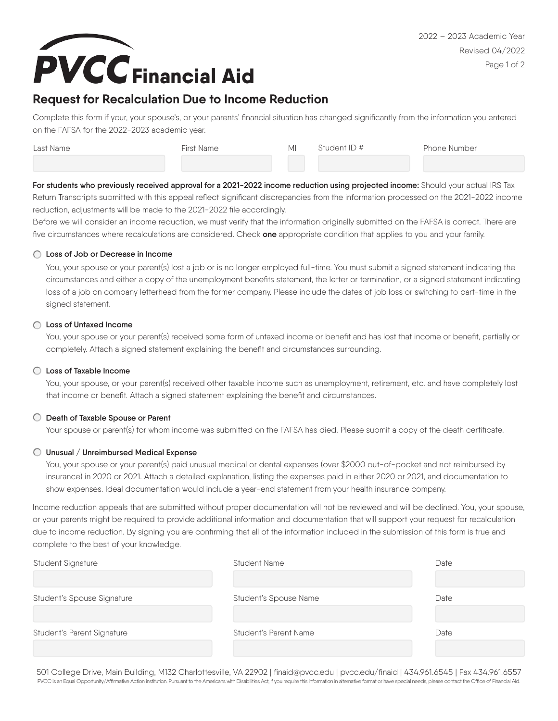

# **Request for Recalculation Due to Income Reduction**

Complete this form if your, your spouse's, or your parents' financial situation has changed significantly from the information you entered on the FAFSA for the 2022-2023 academic year.

| Last Name | First Name | MI | Student ID # | Phone Number |
|-----------|------------|----|--------------|--------------|
|           |            |    |              |              |

For students who previously received approval for a 2021-2022 income reduction using projected income: Should your actual IRS Tax Return Transcripts submitted with this appeal reflect significant discrepancies from the information processed on the 2021-2022 income reduction, adjustments will be made to the 2021-2022 file accordingly.

Before we will consider an income reduction, we must verify that the information originally submitted on the FAFSA is correct. There are five circumstances where recalculations are considered. Check **one** appropriate condition that applies to you and your family.

#### **Loss of Job or Decrease in Income**

You, your spouse or your parent(s) lost a job or is no longer employed full-time. You must submit a signed statement indicating the circumstances and either a copy of the unemployment benefits statement, the letter or termination, or a signed statement indicating loss of a job on company letterhead from the former company. Please include the dates of job loss or switching to part-time in the signed statement.

#### **Loss of Untaxed Income**

You, your spouse or your parent(s) received some form of untaxed income or benefit and has lost that income or benefit, partially or completely. Attach a signed statement explaining the benefit and circumstances surrounding.

# **Loss of Taxable Income**

You, your spouse, or your parent(s) received other taxable income such as unemployment, retirement, etc. and have completely lost that income or benefit. Attach a signed statement explaining the benefit and circumstances.

## **Death of Taxable Spouse or Parent**

Your spouse or parent(s) for whom income was submitted on the FAFSA has died. Please submit a copy of the death certificate.

## **Unusual / Unreimbursed Medical Expense**

You, your spouse or your parent(s) paid unusual medical or dental expenses (over \$2000 out-of-pocket and not reimbursed by insurance) in 2020 or 2021. Attach a detailed explanation, listing the expenses paid in either 2020 or 2021, and documentation to show expenses. Ideal documentation would include a year-end statement from your health insurance company.

Income reduction appeals that are submitted without proper documentation will not be reviewed and will be declined. You, your spouse, or your parents might be required to provide additional information and documentation that will support your request for recalculation due to income reduction. By signing you are confirming that all of the information included in the submission of this form is true and complete to the best of your knowledge.

| Student Signature          | <b>Student Name</b>   | Date |
|----------------------------|-----------------------|------|
|                            |                       |      |
| Student's Spouse Signature | Student's Spouse Name | Date |
|                            |                       |      |
| Student's Parent Signature | Student's Parent Name | Date |
|                            |                       |      |

501 College Drive, Main Building, M132 Charlottesville, VA 22902 | finaid@pvcc.edu | pvcc.edu/finaid | 434.961.6545 | Fax 434.961.6557 PVCC is an Equal Opportunity/Affirmative Action institution. Pursuant to the Americans with Disabilities Act, if you require this information in alternative format or have special needs, please contact the Office of Financ